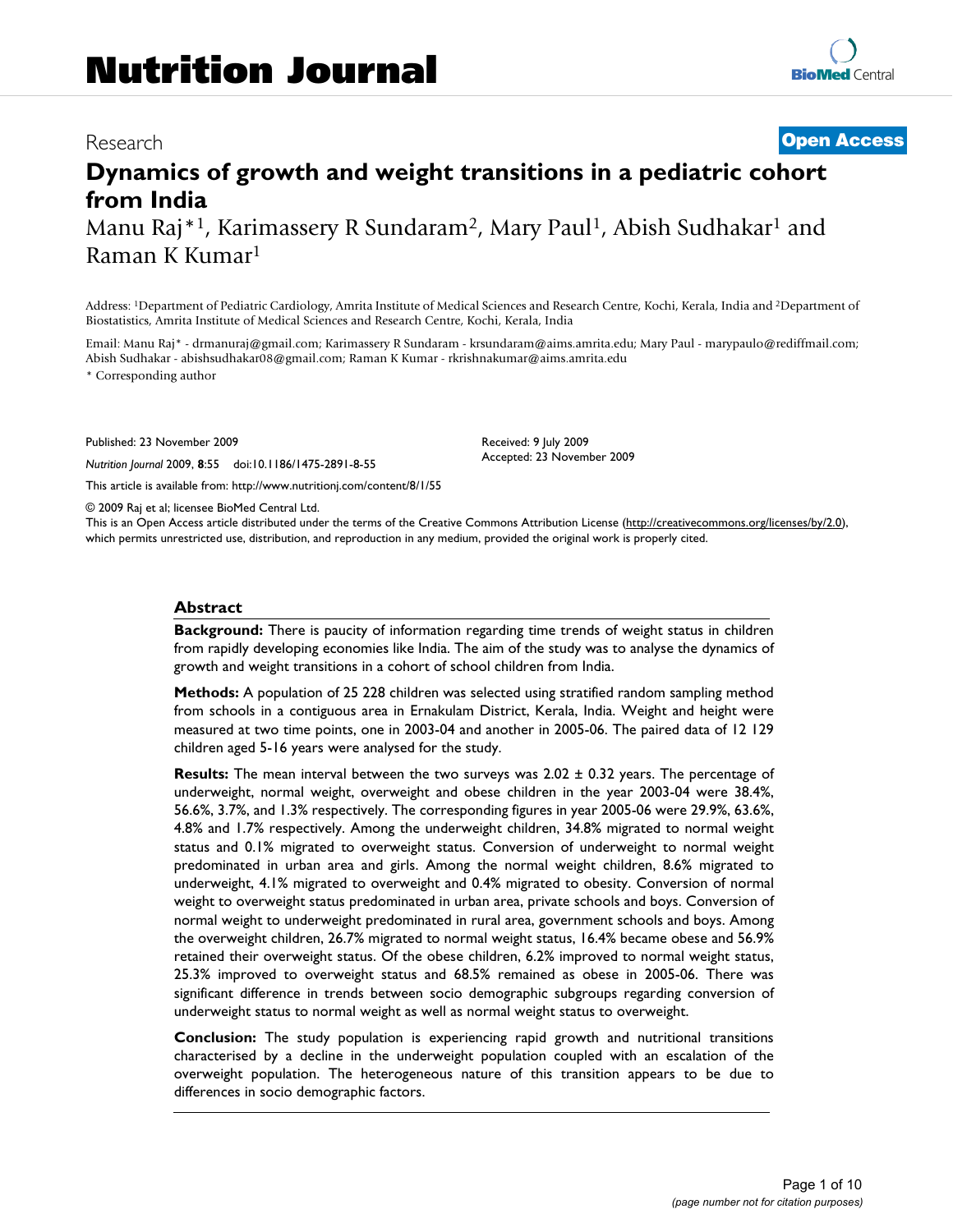# Research **[Open Access](http://www.biomedcentral.com/info/about/charter/)**

# **Dynamics of growth and weight transitions in a pediatric cohort from India**

Manu Raj<sup>\*1</sup>, Karimassery R Sundaram<sup>2</sup>, Mary Paul<sup>1</sup>, Abish Sudhakar<sup>1</sup> and Raman K Kumar1

Address: 1Department of Pediatric Cardiology, Amrita Institute of Medical Sciences and Research Centre, Kochi, Kerala, India and 2Department of Biostatistics, Amrita Institute of Medical Sciences and Research Centre, Kochi, Kerala, India

Email: Manu Raj\* - drmanuraj@gmail.com; Karimassery R Sundaram - krsundaram@aims.amrita.edu; Mary Paul - marypaulo@rediffmail.com; Abish Sudhakar - abishsudhakar08@gmail.com; Raman K Kumar - rkrishnakumar@aims.amrita.edu \* Corresponding author

> Received: 9 July 2009 Accepted: 23 November 2009

Published: 23 November 2009

*Nutrition Journal* 2009, **8**:55 doi:10.1186/1475-2891-8-55

[This article is available from: http://www.nutritionj.com/content/8/1/55](http://www.nutritionj.com/content/8/1/55)

© 2009 Raj et al; licensee BioMed Central Ltd.

This is an Open Access article distributed under the terms of the Creative Commons Attribution License [\(http://creativecommons.org/licenses/by/2.0\)](http://creativecommons.org/licenses/by/2.0), which permits unrestricted use, distribution, and reproduction in any medium, provided the original work is properly cited.

#### **Abstract**

**Background:** There is paucity of information regarding time trends of weight status in children from rapidly developing economies like India. The aim of the study was to analyse the dynamics of growth and weight transitions in a cohort of school children from India.

**Methods:** A population of 25 228 children was selected using stratified random sampling method from schools in a contiguous area in Ernakulam District, Kerala, India. Weight and height were measured at two time points, one in 2003-04 and another in 2005-06. The paired data of 12 129 children aged 5-16 years were analysed for the study.

**Results:** The mean interval between the two surveys was 2.02 ± 0.32 years. The percentage of underweight, normal weight, overweight and obese children in the year 2003-04 were 38.4%, 56.6%, 3.7%, and 1.3% respectively. The corresponding figures in year 2005-06 were 29.9%, 63.6%, 4.8% and 1.7% respectively. Among the underweight children, 34.8% migrated to normal weight status and 0.1% migrated to overweight status. Conversion of underweight to normal weight predominated in urban area and girls. Among the normal weight children, 8.6% migrated to underweight, 4.1% migrated to overweight and 0.4% migrated to obesity. Conversion of normal weight to overweight status predominated in urban area, private schools and boys. Conversion of normal weight to underweight predominated in rural area, government schools and boys. Among the overweight children, 26.7% migrated to normal weight status, 16.4% became obese and 56.9% retained their overweight status. Of the obese children, 6.2% improved to normal weight status, 25.3% improved to overweight status and 68.5% remained as obese in 2005-06. There was significant difference in trends between socio demographic subgroups regarding conversion of underweight status to normal weight as well as normal weight status to overweight.

**Conclusion:** The study population is experiencing rapid growth and nutritional transitions characterised by a decline in the underweight population coupled with an escalation of the overweight population. The heterogeneous nature of this transition appears to be due to differences in socio demographic factors.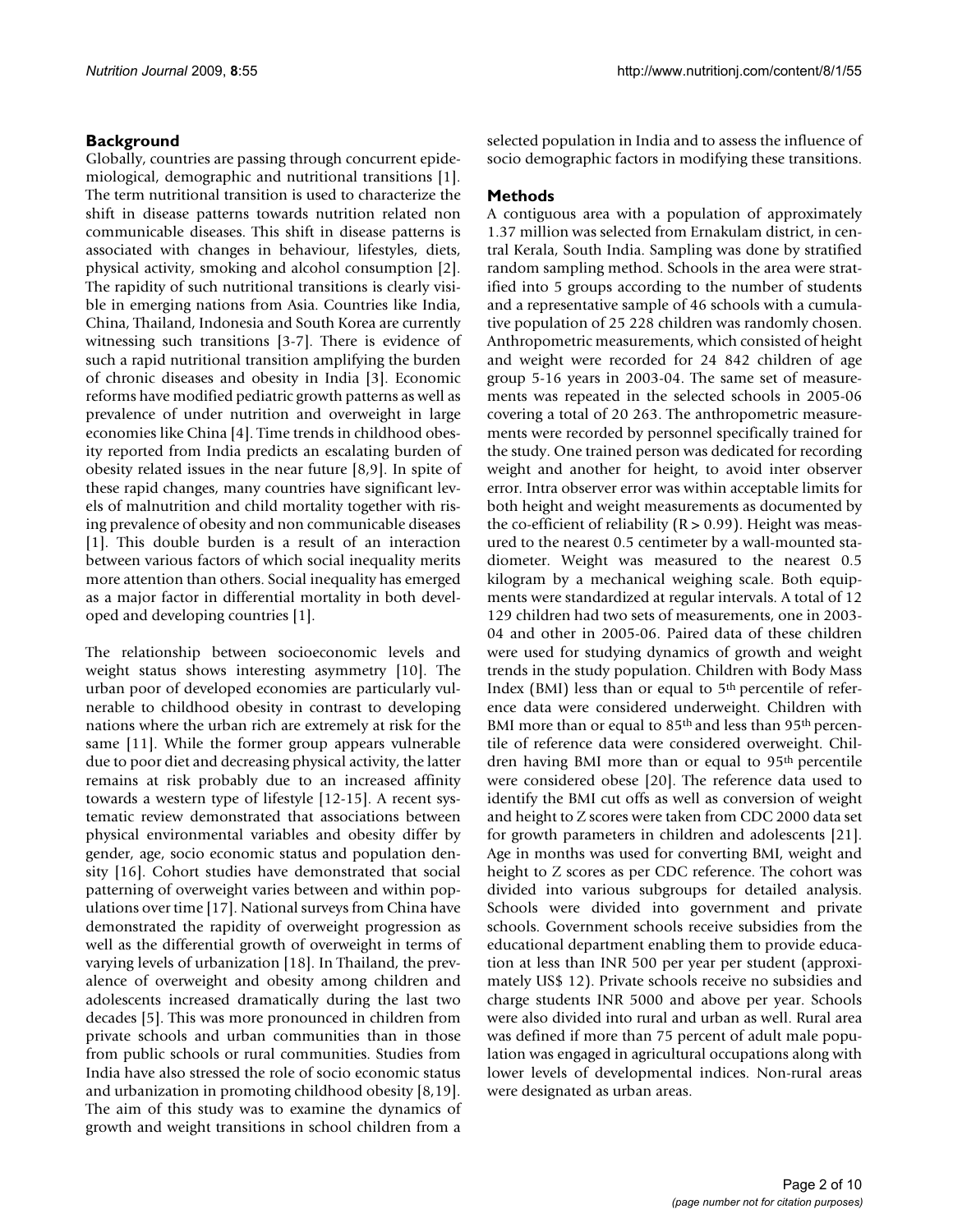# **Background**

Globally, countries are passing through concurrent epidemiological, demographic and nutritional transitions [[1](#page-8-0)]. The term nutritional transition is used to characterize the shift in disease patterns towards nutrition related non communicable diseases. This shift in disease patterns is associated with changes in behaviour, lifestyles, diets, physical activity, smoking and alcohol consumption [[2](#page-8-1)]. The rapidity of such nutritional transitions is clearly visible in emerging nations from Asia. Countries like India, China, Thailand, Indonesia and South Korea are currently witnessing such transitions [\[3-](#page-8-2)[7](#page-8-3)]. There is evidence of such a rapid nutritional transition amplifying the burden of chronic diseases and obesity in India [\[3\]](#page-8-2). Economic reforms have modified pediatric growth patterns as well as prevalence of under nutrition and overweight in large economies like China [[4\]](#page-8-4). Time trends in childhood obesity reported from India predicts an escalating burden of obesity related issues in the near future [[8](#page-8-5),[9](#page-8-6)]. In spite of these rapid changes, many countries have significant levels of malnutrition and child mortality together with rising prevalence of obesity and non communicable diseases [[1\]](#page-8-0). This double burden is a result of an interaction between various factors of which social inequality merits more attention than others. Social inequality has emerged as a major factor in differential mortality in both developed and developing countries [\[1\]](#page-8-0).

The relationship between socioeconomic levels and weight status shows interesting asymmetry [[10\]](#page-9-0). The urban poor of developed economies are particularly vulnerable to childhood obesity in contrast to developing nations where the urban rich are extremely at risk for the same [[11](#page-9-1)]. While the former group appears vulnerable due to poor diet and decreasing physical activity, the latter remains at risk probably due to an increased affinity towards a western type of lifestyle [\[12](#page-9-2)[-15\]](#page-9-3). A recent systematic review demonstrated that associations between physical environmental variables and obesity differ by gender, age, socio economic status and population density [\[16\]](#page-9-4). Cohort studies have demonstrated that social patterning of overweight varies between and within populations over time [[17\]](#page-9-5). National surveys from China have demonstrated the rapidity of overweight progression as well as the differential growth of overweight in terms of varying levels of urbanization [[18\]](#page-9-6). In Thailand, the prevalence of overweight and obesity among children and adolescents increased dramatically during the last two decades [\[5](#page-8-7)]. This was more pronounced in children from private schools and urban communities than in those from public schools or rural communities. Studies from India have also stressed the role of socio economic status and urbanization in promoting childhood obesity [\[8](#page-8-5)[,19](#page-9-7)]. The aim of this study was to examine the dynamics of growth and weight transitions in school children from a

selected population in India and to assess the influence of socio demographic factors in modifying these transitions.

# **Methods**

A contiguous area with a population of approximately 1.37 million was selected from Ernakulam district, in central Kerala, South India. Sampling was done by stratified random sampling method. Schools in the area were stratified into 5 groups according to the number of students and a representative sample of 46 schools with a cumulative population of 25 228 children was randomly chosen. Anthropometric measurements, which consisted of height and weight were recorded for 24 842 children of age group 5-16 years in 2003-04. The same set of measurements was repeated in the selected schools in 2005-06 covering a total of 20 263. The anthropometric measurements were recorded by personnel specifically trained for the study. One trained person was dedicated for recording weight and another for height, to avoid inter observer error. Intra observer error was within acceptable limits for both height and weight measurements as documented by the co-efficient of reliability  $(R > 0.99)$ . Height was measured to the nearest 0.5 centimeter by a wall-mounted stadiometer. Weight was measured to the nearest 0.5 kilogram by a mechanical weighing scale. Both equipments were standardized at regular intervals. A total of 12 129 children had two sets of measurements, one in 2003- 04 and other in 2005-06. Paired data of these children were used for studying dynamics of growth and weight trends in the study population. Children with Body Mass Index (BMI) less than or equal to  $5<sup>th</sup>$  percentile of reference data were considered underweight. Children with BMI more than or equal to  $85<sup>th</sup>$  and less than  $95<sup>th</sup>$  percentile of reference data were considered overweight. Children having BMI more than or equal to 95<sup>th</sup> percentile were considered obese [[20\]](#page-9-8). The reference data used to identify the BMI cut offs as well as conversion of weight and height to Z scores were taken from CDC 2000 data set for growth parameters in children and adolescents [\[21](#page-9-9)]. Age in months was used for converting BMI, weight and height to Z scores as per CDC reference. The cohort was divided into various subgroups for detailed analysis. Schools were divided into government and private schools. Government schools receive subsidies from the educational department enabling them to provide education at less than INR 500 per year per student (approximately US\$ 12). Private schools receive no subsidies and charge students INR 5000 and above per year. Schools were also divided into rural and urban as well. Rural area was defined if more than 75 percent of adult male population was engaged in agricultural occupations along with lower levels of developmental indices. Non-rural areas were designated as urban areas.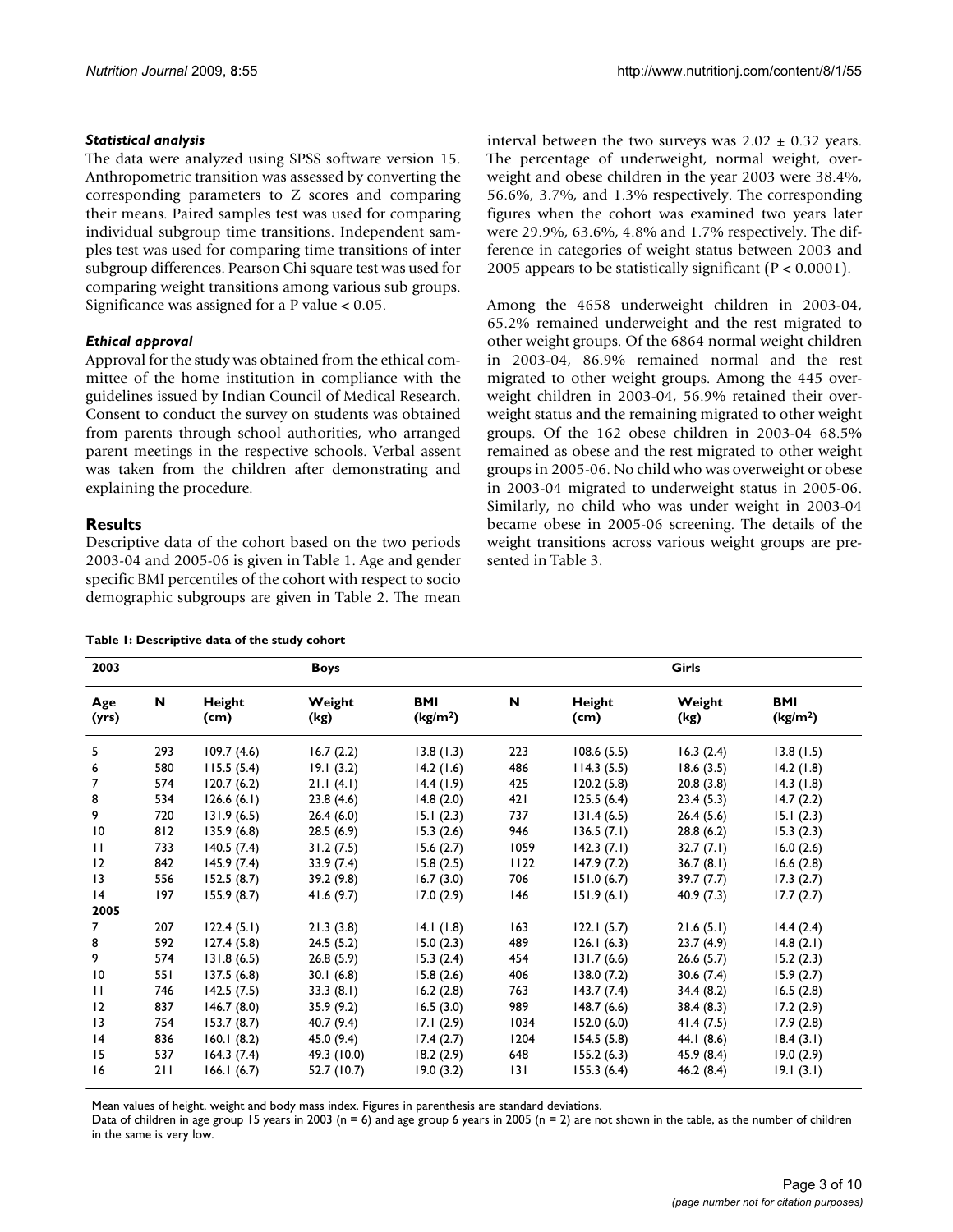#### *Statistical analysis*

The data were analyzed using SPSS software version 15. Anthropometric transition was assessed by converting the corresponding parameters to Z scores and comparing their means. Paired samples test was used for comparing individual subgroup time transitions. Independent samples test was used for comparing time transitions of inter subgroup differences. Pearson Chi square test was used for comparing weight transitions among various sub groups. Significance was assigned for a P value < 0.05.

#### *Ethical approval*

Approval for the study was obtained from the ethical committee of the home institution in compliance with the guidelines issued by Indian Council of Medical Research. Consent to conduct the survey on students was obtained from parents through school authorities, who arranged parent meetings in the respective schools. Verbal assent was taken from the children after demonstrating and explaining the procedure.

#### **Results**

Descriptive data of the cohort based on the two periods 2003-04 and 2005-06 is given in Table [1](#page-2-0). Age and gender specific BMI percentiles of the cohort with respect to socio demographic subgroups are given in Table [2](#page-3-0). The mean

<span id="page-2-0"></span>

interval between the two surveys was  $2.02 \pm 0.32$  years. The percentage of underweight, normal weight, overweight and obese children in the year 2003 were 38.4%, 56.6%, 3.7%, and 1.3% respectively. The corresponding figures when the cohort was examined two years later were 29.9%, 63.6%, 4.8% and 1.7% respectively. The difference in categories of weight status between 2003 and 2005 appears to be statistically significant ( $P < 0.0001$ ).

Among the 4658 underweight children in 2003-04, 65.2% remained underweight and the rest migrated to other weight groups. Of the 6864 normal weight children in 2003-04, 86.9% remained normal and the rest migrated to other weight groups. Among the 445 overweight children in 2003-04, 56.9% retained their overweight status and the remaining migrated to other weight groups. Of the 162 obese children in 2003-04 68.5% remained as obese and the rest migrated to other weight groups in 2005-06. No child who was overweight or obese in 2003-04 migrated to underweight status in 2005-06. Similarly, no child who was under weight in 2003-04 became obese in 2005-06 screening. The details of the weight transitions across various weight groups are presented in Table [3.](#page-3-1)

| 2003            |     |                | <b>Boys</b>    |                                    |      |                | Girls          |                                    |
|-----------------|-----|----------------|----------------|------------------------------------|------|----------------|----------------|------------------------------------|
| Age<br>(yrs)    | N   | Height<br>(cm) | Weight<br>(kg) | <b>BMI</b><br>(kg/m <sup>2</sup> ) | N    | Height<br>(cm) | Weight<br>(kg) | <b>BMI</b><br>(kg/m <sup>2</sup> ) |
| 5               | 293 | 109.7(4.6)     | 16.7(2.2)      | 13.8(1.3)                          | 223  | 108.6(5.5)     | 16.3(2.4)      | 13.8(1.5)                          |
| 6               | 580 | 115.5(5.4)     | 19.1(3.2)      | 14.2(1.6)                          | 486  | 114.3(5.5)     | 18.6(3.5)      | 14.2(1.8)                          |
| 7               | 574 | 120.7(6.2)     | 21.1(4.1)      | 14.4(1.9)                          | 425  | 120.2(5.8)     | 20.8(3.8)      | 14.3(1.8)                          |
| 8               | 534 | 126.6(6.1)     | 23.8(4.6)      | 14.8(2.0)                          | 421  | 125.5(6.4)     | 23.4(5.3)      | 14.7(2.2)                          |
| 9               | 720 | 131.9(6.5)     | 26.4(6.0)      | 15.1(2.3)                          | 737  | 131.4(6.5)     | 26.4(5.6)      | 15.1(2.3)                          |
| $\overline{10}$ | 812 | 135.9(6.8)     | 28.5(6.9)      | 15.3(2.6)                          | 946  | 136.5(7.1)     | 28.8(6.2)      | 15.3(2.3)                          |
| $\mathbf{H}$    | 733 | 140.5(7.4)     | 31.2(7.5)      | 15.6(2.7)                          | 1059 | 142.3(7.1)     | 32.7(7.1)      | 16.0(2.6)                          |
| 12              | 842 | 145.9(7.4)     | 33.9(7.4)      | 15.8(2.5)                          | 1122 | 147.9(7.2)     | 36.7(8.1)      | 16.6(2.8)                          |
| $ 3\rangle$     | 556 | 152.5(8.7)     | 39.2(9.8)      | 16.7(3.0)                          | 706  | 151.0(6.7)     | 39.7(7.7)      | 17.3(2.7)                          |
| 4               | 197 | 155.9(8.7)     | 41.6(9.7)      | 17.0(2.9)                          | 146  | 151.9(6.1)     | 40.9(7.3)      | 17.7(2.7)                          |
| 2005            |     |                |                |                                    |      |                |                |                                    |
| 7               | 207 | 122.4(5.1)     | 21.3(3.8)      | 14.1(1.8)                          | 163  | 122.1(5.7)     | 21.6(5.1)      | 14.4(2.4)                          |
| 8               | 592 | 127.4(5.8)     | 24.5(5.2)      | 15.0(2.3)                          | 489  | 126.1(6.3)     | 23.7(4.9)      | 14.8(2.1)                          |
| 9               | 574 | 131.8(6.5)     | 26.8(5.9)      | 15.3(2.4)                          | 454  | 131.7(6.6)     | 26.6(5.7)      | 15.2(2.3)                          |
| $\overline{10}$ | 551 | 137.5(6.8)     | 30.1(6.8)      | 15.8(2.6)                          | 406  | 138.0(7.2)     | 30.6(7.4)      | 15.9(2.7)                          |
| $\mathbf{H}$    | 746 | 142.5(7.5)     | 33.3(8.1)      | 16.2(2.8)                          | 763  | 143.7(7.4)     | 34.4(8.2)      | 16.5(2.8)                          |
| 12              | 837 | 146.7(8.0)     | 35.9(9.2)      | 16.5(3.0)                          | 989  | 148.7(6.6)     | 38.4(8.3)      | 17.2(2.9)                          |
| 13              | 754 | 153.7(8.7)     | 40.7 (9.4)     | 17.1(2.9)                          | 1034 | 152.0(6.0)     | 41.4(7.5)      | 17.9(2.8)                          |
| 4               | 836 | 160.1(8.2)     | 45.0 (9.4)     | 17.4(2.7)                          | 1204 | 154.5(5.8)     | 44.1 (8.6)     | 18.4(3.1)                          |
| 15              | 537 | 164.3(7.4)     | 49.3 (10.0)    | 18.2(2.9)                          | 648  | 155.2(6.3)     | 45.9 (8.4)     | 19.0(2.9)                          |
| 16              | 211 | 166.1(6.7)     | 52.7 (10.7)    | 19.0(3.2)                          | 3    | 155.3(6.4)     | 46.2(8.4)      | 19.1(3.1)                          |

Mean values of height, weight and body mass index. Figures in parenthesis are standard deviations.

Data of children in age group 15 years in 2003 (n = 6) and age group 6 years in 2005 (n = 2) are not shown in the table, as the number of children in the same is very low.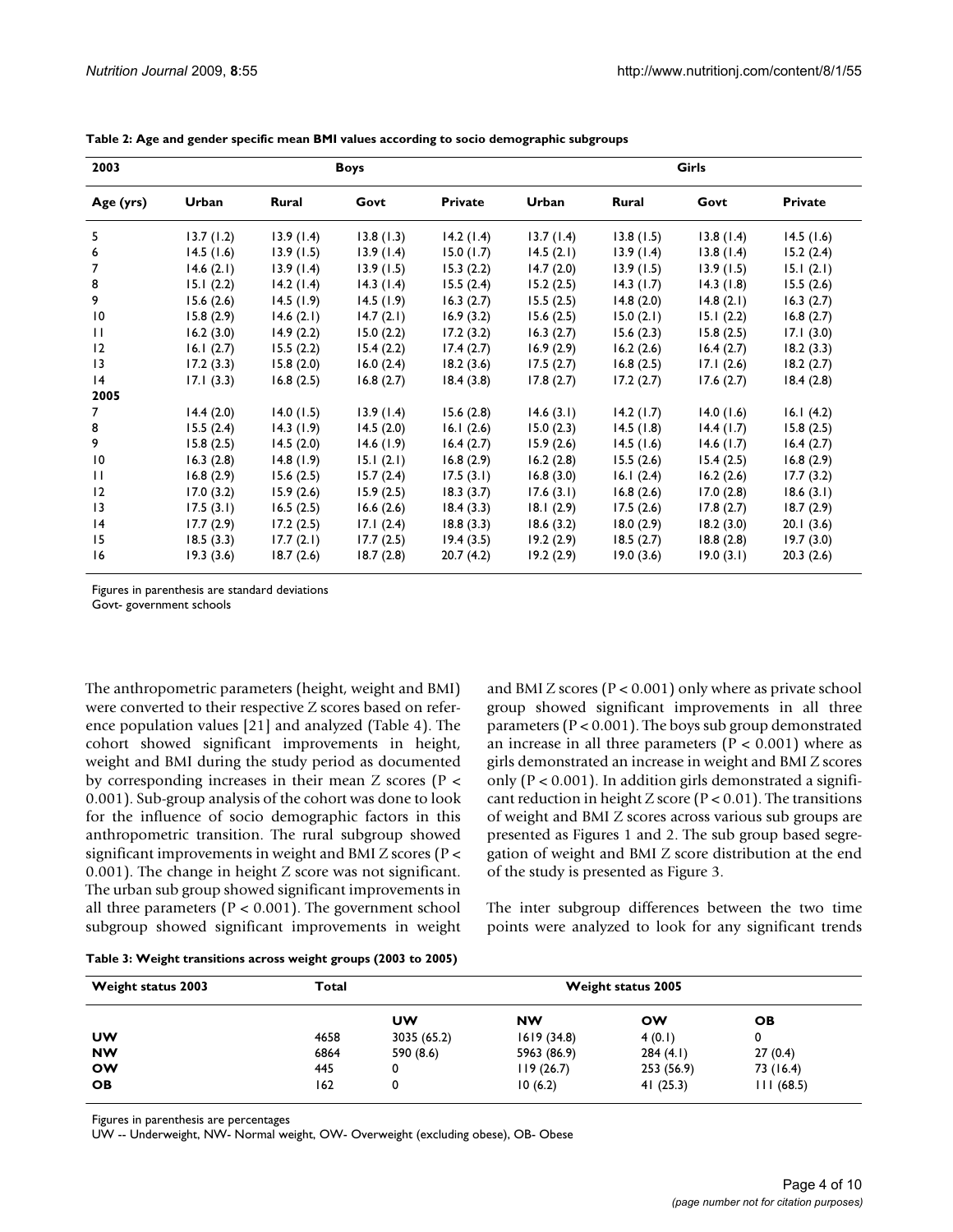| 2003            |           |              | <b>Boys</b> |                | <b>Girls</b> |           |           |                |  |
|-----------------|-----------|--------------|-------------|----------------|--------------|-----------|-----------|----------------|--|
| Age (yrs)       | Urban     | <b>Rural</b> | Govt        | <b>Private</b> | Urban        | Rural     | Govt      | <b>Private</b> |  |
| 5               | 13.7(1.2) | 13.9(1.4)    | 13.8(1.3)   | 14.2(1.4)      | 13.7(1.4)    | 13.8(1.5) | 13.8(1.4) | 14.5(1.6)      |  |
| 6               | 14.5(1.6) | 13.9(1.5)    | 13.9(1.4)   | 15.0(1.7)      | 14.5(2.1)    | 13.9(1.4) | 13.8(1.4) | 15.2(2.4)      |  |
| 7               | 14.6(2.1) | 13.9(1.4)    | 13.9(1.5)   | 15.3(2.2)      | 14.7(2.0)    | 13.9(1.5) | 13.9(1.5) | 15.1(2.1)      |  |
| 8               | 15.1(2.2) | 14.2(1.4)    | 14.3(1.4)   | 15.5(2.4)      | 15.2(2.5)    | 14.3(1.7) | 14.3(1.8) | 15.5(2.6)      |  |
| 9               | 15.6(2.6) | 14.5(1.9)    | 14.5(1.9)   | 16.3(2.7)      | 15.5(2.5)    | 14.8(2.0) | 14.8(2.1) | 16.3(2.7)      |  |
| $\overline{10}$ | 15.8(2.9) | 14.6(2.1)    | 14.7(2.1)   | 16.9(3.2)      | 15.6(2.5)    | 15.0(2.1) | 15.1(2.2) | 16.8(2.7)      |  |
| $\mathbf{H}$    | 16.2(3.0) | 14.9(2.2)    | 15.0(2.2)   | 17.2(3.2)      | 16.3(2.7)    | 15.6(2.3) | 15.8(2.5) | 17.1(3.0)      |  |
| 12              | 16.1(2.7) | 15.5(2.2)    | 15.4(2.2)   | 17.4(2.7)      | 16.9(2.9)    | 16.2(2.6) | 16.4(2.7) | 18.2(3.3)      |  |
| $\overline{13}$ | 17.2(3.3) | 15.8(2.0)    | 16.0(2.4)   | 18.2(3.6)      | 17.5(2.7)    | 16.8(2.5) | 17.1(2.6) | 18.2(2.7)      |  |
| 4               | 17.1(3.3) | 16.8(2.5)    | 16.8(2.7)   | 18.4(3.8)      | 17.8(2.7)    | 17.2(2.7) | 17.6(2.7) | 18.4(2.8)      |  |
| 2005            |           |              |             |                |              |           |           |                |  |
| 7               | 14.4(2.0) | 14.0(1.5)    | 13.9(1.4)   | 15.6(2.8)      | 14.6(3.1)    | 14.2(1.7) | 14.0(1.6) | 16.1(4.2)      |  |
| 8               | 15.5(2.4) | 14.3(1.9)    | 14.5(2.0)   | 16.1(2.6)      | 15.0(2.3)    | 14.5(1.8) | 14.4(1.7) | 15.8(2.5)      |  |
| 9               | 15.8(2.5) | 14.5(2.0)    | 14.6(1.9)   | 16.4(2.7)      | 15.9(2.6)    | 14.5(1.6) | 14.6(1.7) | 16.4(2.7)      |  |
| $\overline{10}$ | 16.3(2.8) | 14.8(1.9)    | 15.1(2.1)   | 16.8(2.9)      | 16.2(2.8)    | 15.5(2.6) | 15.4(2.5) | 16.8(2.9)      |  |
| $\mathbf{H}$    | 16.8(2.9) | 15.6(2.5)    | 15.7(2.4)   | 17.5(3.1)      | 16.8(3.0)    | 16.1(2.4) | 16.2(2.6) | 17.7(3.2)      |  |
| 12              | 17.0(3.2) | 15.9(2.6)    | 15.9(2.5)   | 18.3(3.7)      | 17.6(3.1)    | 16.8(2.6) | 17.0(2.8) | 18.6(3.1)      |  |
| $\overline{13}$ | 17.5(3.1) | 16.5(2.5)    | 16.6(2.6)   | 18.4(3.3)      | 18.1(2.9)    | 17.5(2.6) | 17.8(2.7) | 18.7(2.9)      |  |
| 4               | 17.7(2.9) | 17.2(2.5)    | 17.1(2.4)   | 18.8(3.3)      | 18.6(3.2)    | 18.0(2.9) | 18.2(3.0) | 20.1(3.6)      |  |
| 15              | 18.5(3.3) | 17.7(2.1)    | 17.7(2.5)   | 19.4(3.5)      | 19.2(2.9)    | 18.5(2.7) | 18.8(2.8) | 19.7(3.0)      |  |
| 16              | 19.3(3.6) | 18.7(2.6)    | 18.7(2.8)   | 20.7(4.2)      | 19.2(2.9)    | 19.0(3.6) | 19.0(3.1) | 20.3(2.6)      |  |

<span id="page-3-0"></span>**Table 2: Age and gender specific mean BMI values according to socio demographic subgroups**

Figures in parenthesis are standard deviations Govt- government schools

The anthropometric parameters (height, weight and BMI) were converted to their respective Z scores based on reference population values [[21](#page-9-9)] and analyzed (Table [4](#page-7-0)). The cohort showed significant improvements in height, weight and BMI during the study period as documented by corresponding increases in their mean Z scores (P < 0.001). Sub-group analysis of the cohort was done to look for the influence of socio demographic factors in this anthropometric transition. The rural subgroup showed significant improvements in weight and BMI Z scores (P < 0.001). The change in height Z score was not significant. The urban sub group showed significant improvements in all three parameters ( $P < 0.001$ ). The government school subgroup showed significant improvements in weight and BMI Z scores ( $P < 0.001$ ) only where as private school group showed significant improvements in all three parameters ( $P < 0.001$ ). The boys sub group demonstrated an increase in all three parameters ( $P < 0.001$ ) where as girls demonstrated an increase in weight and BMI Z scores only ( $P < 0.001$ ). In addition girls demonstrated a significant reduction in height Z score ( $P < 0.01$ ). The transitions of weight and BMI Z scores across various sub groups are presented as Figures [1](#page-4-0) and [2](#page-5-0). The sub group based segregation of weight and BMI Z score distribution at the end of the study is presented as Figure [3.](#page-6-0)

The inter subgroup differences between the two time points were analyzed to look for any significant trends

<span id="page-3-1"></span>

|  | Table 3: Weight transitions across weight groups (2003 to 2005) |
|--|-----------------------------------------------------------------|
|--|-----------------------------------------------------------------|

| <b>Weight status 2003</b> | Total |             | <b>Weight status 2005</b> |            |           |
|---------------------------|-------|-------------|---------------------------|------------|-----------|
|                           |       | UW          | <b>NW</b>                 | ow         | OВ        |
| UW                        | 4658  | 3035 (65.2) | 1619(34.8)                | 4(0.1)     | 0         |
| <b>NW</b>                 | 6864  | 590 (8.6)   | 5963 (86.9)               | 284(4.1)   | 27(0.4)   |
| <b>OW</b>                 | 445   | 0           | 119(26.7)                 | 253 (56.9) | 73 (16.4) |
| <b>OB</b>                 | 162   | 0           | 10(6.2)                   | 41(25.3)   | 111(68.5) |

Figures in parenthesis are percentages

UW -- Underweight, NW- Normal weight, OW- Overweight (excluding obese), OB- Obese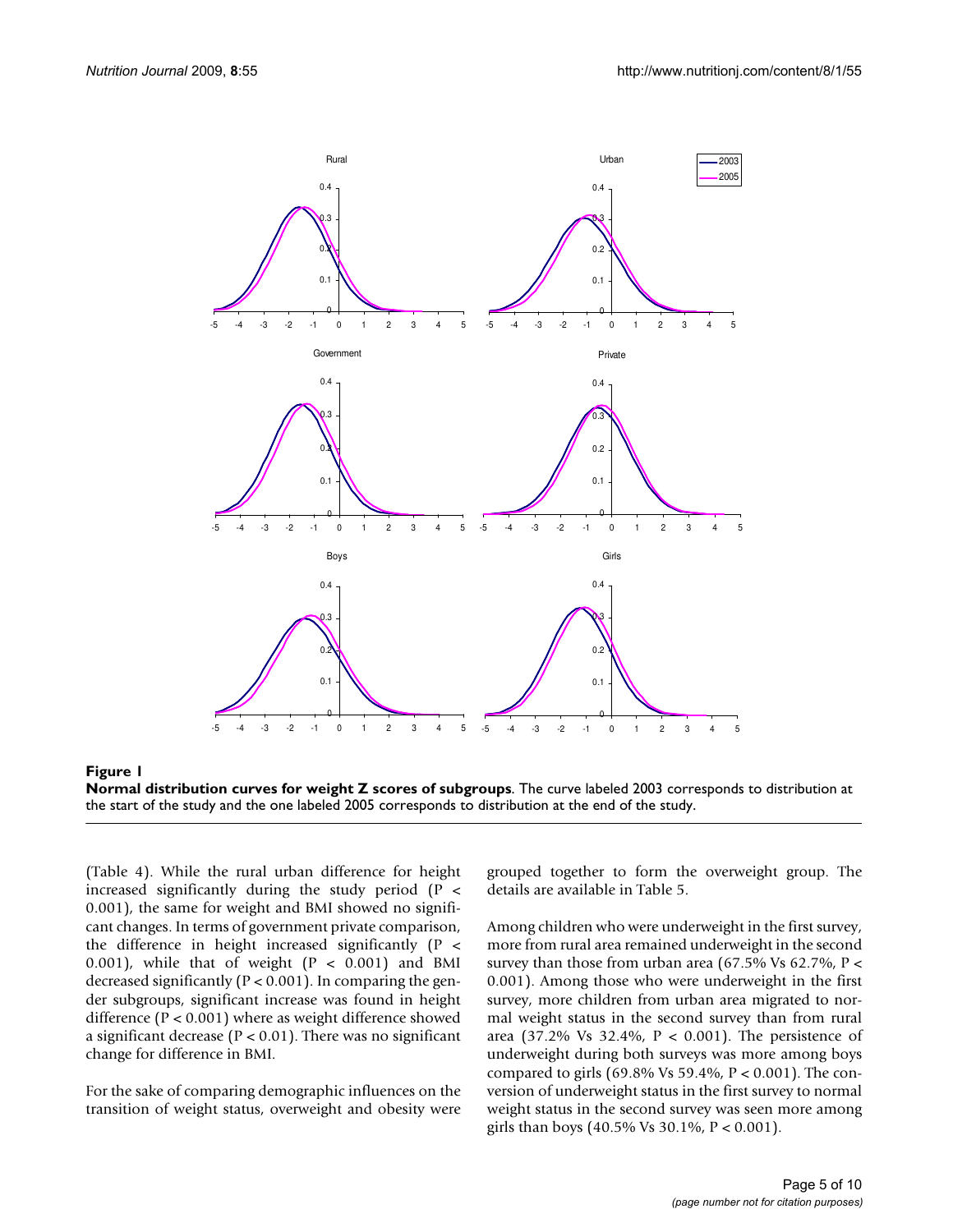<span id="page-4-0"></span>

Figure 1 **Normal distribution curves for weight Z scores of subgroups**. The curve labeled 2003 corresponds to distribution at the start of the study and the one labeled 2005 corresponds to distribution at the end of the study.

(Table [4](#page-7-0)). While the rural urban difference for height increased significantly during the study period (P < 0.001), the same for weight and BMI showed no significant changes. In terms of government private comparison, the difference in height increased significantly (P < 0.001), while that of weight  $(P < 0.001)$  and BMI decreased significantly ( $P < 0.001$ ). In comparing the gender subgroups, significant increase was found in height difference (P < 0.001) where as weight difference showed a significant decrease ( $P < 0.01$ ). There was no significant change for difference in BMI.

For the sake of comparing demographic influences on the transition of weight status, overweight and obesity were grouped together to form the overweight group. The details are available in Table [5](#page-7-1).

Among children who were underweight in the first survey, more from rural area remained underweight in the second survey than those from urban area (67.5% Vs 62.7%,  $P$  < 0.001). Among those who were underweight in the first survey, more children from urban area migrated to normal weight status in the second survey than from rural area (37.2% Vs 32.4%, P < 0.001). The persistence of underweight during both surveys was more among boys compared to girls (69.8% Vs 59.4%, P < 0.001). The conversion of underweight status in the first survey to normal weight status in the second survey was seen more among girls than boys (40.5% Vs 30.1%, P < 0.001).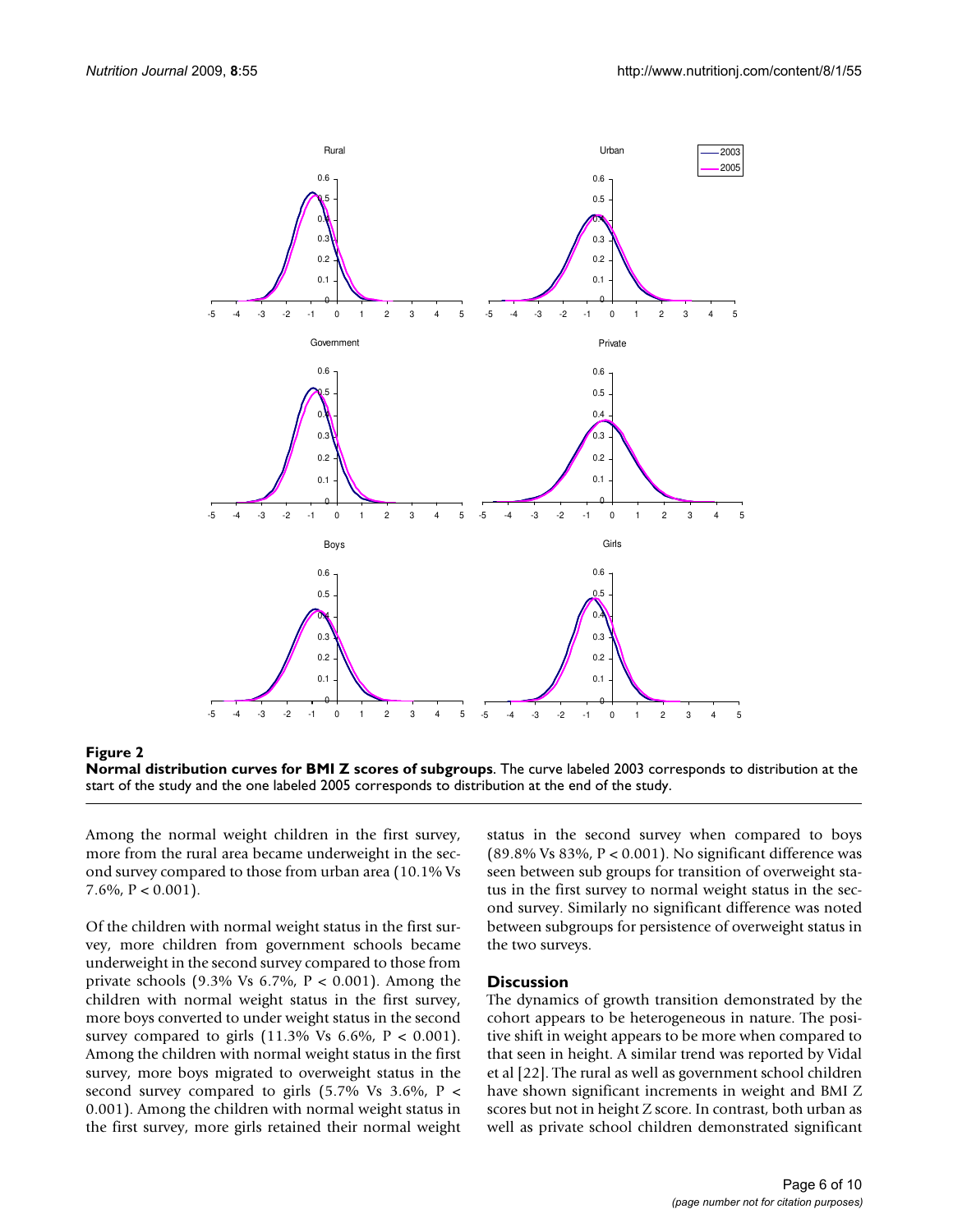<span id="page-5-0"></span>

Figure 2 **Normal distribution curves for BMI Z scores of subgroups**. The curve labeled 2003 corresponds to distribution at the start of the study and the one labeled 2005 corresponds to distribution at the end of the study.

Among the normal weight children in the first survey, more from the rural area became underweight in the second survey compared to those from urban area (10.1% Vs 7.6%,  $P < 0.001$ ).

Of the children with normal weight status in the first survey, more children from government schools became underweight in the second survey compared to those from private schools (9.3% Vs  $6.7\%$ ,  $P < 0.001$ ). Among the children with normal weight status in the first survey, more boys converted to under weight status in the second survey compared to girls  $(11.3\%$  Vs  $6.6\%$ ,  $P < 0.001$ ). Among the children with normal weight status in the first survey, more boys migrated to overweight status in the second survey compared to girls  $(5.7\% \text{ Vs } 3.6\%, \text{ P}$  < 0.001). Among the children with normal weight status in the first survey, more girls retained their normal weight status in the second survey when compared to boys (89.8% Vs 83%,  $P < 0.001$ ). No significant difference was seen between sub groups for transition of overweight status in the first survey to normal weight status in the second survey. Similarly no significant difference was noted between subgroups for persistence of overweight status in the two surveys.

#### **Discussion**

The dynamics of growth transition demonstrated by the cohort appears to be heterogeneous in nature. The positive shift in weight appears to be more when compared to that seen in height. A similar trend was reported by Vidal et al [\[22\]](#page-9-10). The rural as well as government school children have shown significant increments in weight and BMI Z scores but not in height Z score. In contrast, both urban as well as private school children demonstrated significant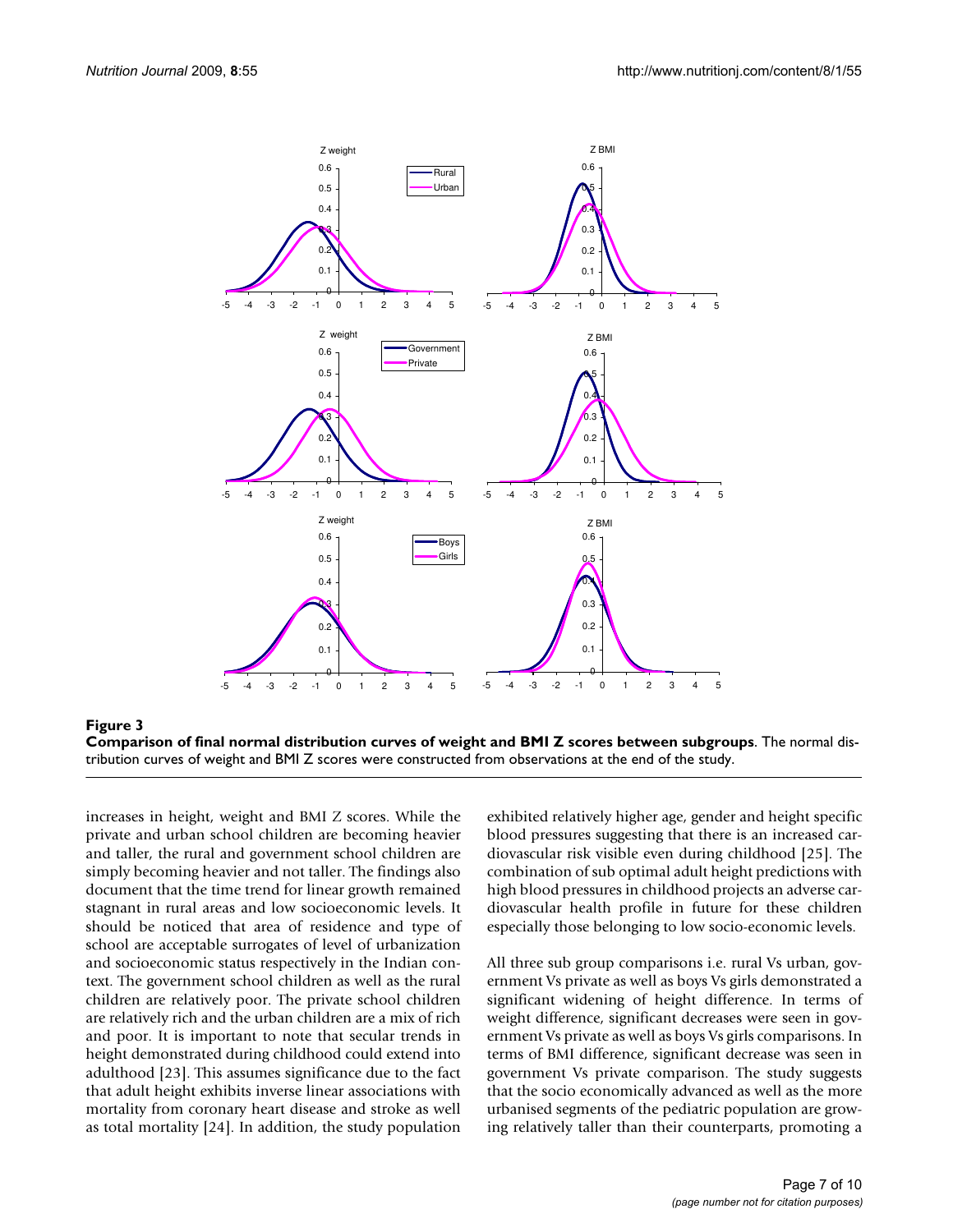<span id="page-6-0"></span>



increases in height, weight and BMI Z scores. While the private and urban school children are becoming heavier and taller, the rural and government school children are simply becoming heavier and not taller. The findings also document that the time trend for linear growth remained stagnant in rural areas and low socioeconomic levels. It should be noticed that area of residence and type of school are acceptable surrogates of level of urbanization and socioeconomic status respectively in the Indian context. The government school children as well as the rural children are relatively poor. The private school children are relatively rich and the urban children are a mix of rich and poor. It is important to note that secular trends in height demonstrated during childhood could extend into adulthood [[23](#page-9-11)]. This assumes significance due to the fact that adult height exhibits inverse linear associations with mortality from coronary heart disease and stroke as well as total mortality [[24\]](#page-9-12). In addition, the study population

exhibited relatively higher age, gender and height specific blood pressures suggesting that there is an increased cardiovascular risk visible even during childhood [\[25](#page-9-13)]. The combination of sub optimal adult height predictions with high blood pressures in childhood projects an adverse cardiovascular health profile in future for these children especially those belonging to low socio-economic levels.

All three sub group comparisons i.e. rural Vs urban, government Vs private as well as boys Vs girls demonstrated a significant widening of height difference. In terms of weight difference, significant decreases were seen in government Vs private as well as boys Vs girls comparisons. In terms of BMI difference, significant decrease was seen in government Vs private comparison. The study suggests that the socio economically advanced as well as the more urbanised segments of the pediatric population are growing relatively taller than their counterparts, promoting a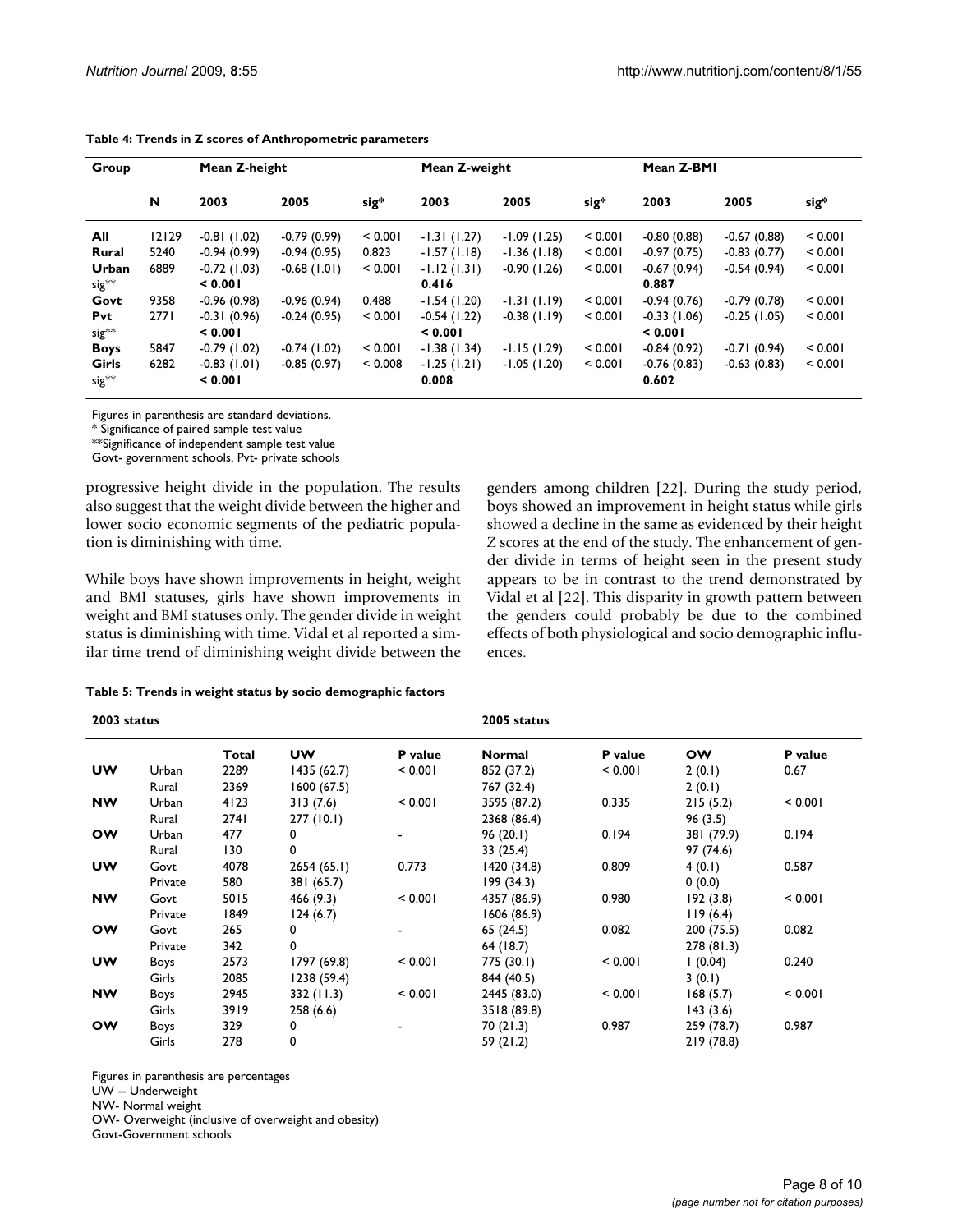| Group             | Mean Z-height |               |               |         | Mean Z-weight |               |         | Mean Z-BMI    |               |         |
|-------------------|---------------|---------------|---------------|---------|---------------|---------------|---------|---------------|---------------|---------|
|                   | N             | 2003          | 2005          | sig*    | 2003          | 2005          | sig*    | 2003          | 2005          | sig*    |
| All               | 12129         | $-0.81(1.02)$ | $-0.79(0.99)$ | < 0.001 | $-1.31(1.27)$ | $-1.09(1.25)$ | < 0.001 | $-0.80(0.88)$ | $-0.67(0.88)$ | < 0.001 |
| Rural             | 5240          | $-0.94(0.99)$ | $-0.94(0.95)$ | 0.823   | $-1.57(1.18)$ | $-1.36(1.18)$ | < 0.001 | $-0.97(0.75)$ | $-0.83(0.77)$ | < 0.001 |
| Urban             | 6889          | $-0.72(1.03)$ | $-0.68(1.01)$ | < 0.001 | $-1.12(1.31)$ | $-0.90(1.26)$ | < 0.001 | $-0.67(0.94)$ | $-0.54(0.94)$ | < 0.001 |
| $sig^{**}$        |               | 0.001         |               |         | 0.416         |               |         | 0.887         |               |         |
| Govt              | 9358          | $-0.96(0.98)$ | $-0.96(0.94)$ | 0.488   | $-1.54(1.20)$ | $-1.31(1.19)$ | < 0.001 | $-0.94(0.76)$ | $-0.79(0.78)$ | < 0.001 |
| Pvt               | 2771          | $-0.31(0.96)$ | $-0.24(0.95)$ | < 0.001 | $-0.54(1.22)$ | $-0.38(1.19)$ | < 0.001 | $-0.33(1.06)$ | $-0.25(1.05)$ | < 0.001 |
| $sig^{**}$        |               | 0.001         |               |         | 0.001         |               |         | < 0.001       |               |         |
| <b>Boys</b>       | 5847          | $-0.79(1.02)$ | $-0.74(1.02)$ | < 0.001 | $-1.38(1.34)$ | $-1.15(1.29)$ | < 0.001 | $-0.84(0.92)$ | $-0.71(0.94)$ | < 0.001 |
| Girls             | 6282          | $-0.83(1.01)$ | $-0.85(0.97)$ | < 0.008 | $-1.25(1.21)$ | $-1.05(1.20)$ | < 0.001 | $-0.76(0.83)$ | $-0.63(0.83)$ | < 0.001 |
| sig <sup>**</sup> |               | < 0.001       |               |         | 0.008         |               |         | 0.602         |               |         |

<span id="page-7-0"></span>

| Table 4: Trends in Z scores of Anthropometric parameters |  |
|----------------------------------------------------------|--|
|----------------------------------------------------------|--|

Figures in parenthesis are standard deviations.

\* Significance of paired sample test value

\*\*Significance of independent sample test value

Govt- government schools, Pvt- private schools

progressive height divide in the population. The results also suggest that the weight divide between the higher and lower socio economic segments of the pediatric population is diminishing with time.

While boys have shown improvements in height, weight and BMI statuses, girls have shown improvements in weight and BMI statuses only. The gender divide in weight status is diminishing with time. Vidal et al reported a similar time trend of diminishing weight divide between the boys showed an improvement in height status while girls showed a decline in the same as evidenced by their height Z scores at the end of the study. The enhancement of gender divide in terms of height seen in the present study appears to be in contrast to the trend demonstrated by Vidal et al [\[22](#page-9-10)]. This disparity in growth pattern between the genders could probably be due to the combined effects of both physiological and socio demographic influences.

genders among children [\[22\]](#page-9-10). During the study period,

<span id="page-7-1"></span>

| 2003 status |         |       |             |                | 2005 status |                |            |                |  |  |
|-------------|---------|-------|-------------|----------------|-------------|----------------|------------|----------------|--|--|
|             |         | Total | <b>UW</b>   | <b>P</b> value | Normal      | <b>P</b> value | <b>OW</b>  | <b>P</b> value |  |  |
| <b>UW</b>   | Urban   | 2289  | 1435(62.7)  | < 0.001        | 852 (37.2)  | < 0.001        | 2(0.1)     | 0.67           |  |  |
|             | Rural   | 2369  | 1600(67.5)  |                | 767 (32.4)  |                | 2(0.1)     |                |  |  |
| <b>NW</b>   | Urban   | 4123  | 313(7.6)    | < 0.001        | 3595 (87.2) | 0.335          | 215(5.2)   | < 0.001        |  |  |
|             | Rural   | 2741  | 277(10.1)   |                | 2368 (86.4) |                | 96(3.5)    |                |  |  |
| <b>OW</b>   | Urban   | 477   | 0           |                | 96(20.1)    | 0.194          | 381 (79.9) | 0.194          |  |  |
|             | Rural   | 130   | 0           |                | 33(25.4)    |                | 97 (74.6)  |                |  |  |
| <b>UW</b>   | Govt    | 4078  | 2654(65.1)  | 0.773          | 1420(34.8)  | 0.809          | 4(0.1)     | 0.587          |  |  |
|             | Private | 580   | 381 (65.7)  |                | 199(34.3)   |                | 0(0.0)     |                |  |  |
| <b>NW</b>   | Govt    | 5015  | 466 (9.3)   | < 0.001        | 4357 (86.9) | 0.980          | 192(3.8)   | < 0.001        |  |  |
|             | Private | 1849  | 124(6.7)    |                | 1606 (86.9) |                | 119(6.4)   |                |  |  |
| <b>OW</b>   | Govt    | 265   | $\Omega$    |                | 65 (24.5)   | 0.082          | 200 (75.5) | 0.082          |  |  |
|             | Private | 342   | 0           |                | 64 (18.7)   |                | 278 (81.3) |                |  |  |
| UW          | Boys    | 2573  | 1797 (69.8) | < 0.001        | 775 (30.1)  | < 0.001        | (0.04)     | 0.240          |  |  |
|             | Girls   | 2085  | 1238 (59.4) |                | 844 (40.5)  |                | 3(0.1)     |                |  |  |
| <b>NW</b>   | Boys    | 2945  | 332 (11.3)  | < 0.001        | 2445 (83.0) | < 0.001        | 168(5.7)   | < 0.001        |  |  |
|             | Girls   | 3919  | 258(6.6)    |                | 3518 (89.8) |                | 143(3.6)   |                |  |  |
| <b>OW</b>   | Boys    | 329   | 0           |                | 70 (21.3)   | 0.987          | 259 (78.7) | 0.987          |  |  |
|             | Girls   | 278   | 0           |                | 59 (21.2)   |                | 219 (78.8) |                |  |  |

Figures in parenthesis are percentages

UW -- Underweight

NW- Normal weight

OW- Overweight (inclusive of overweight and obesity)

Govt-Government schools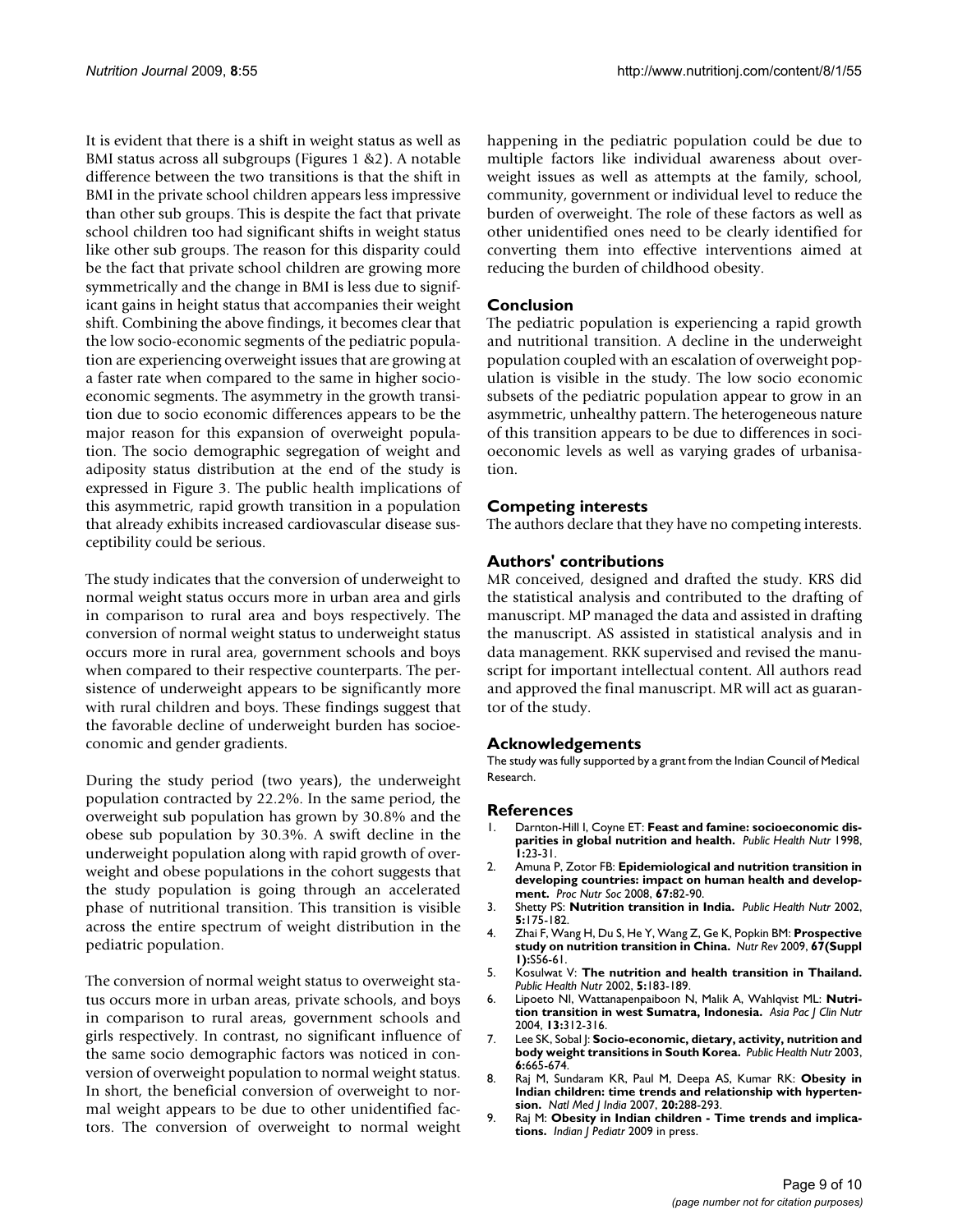It is evident that there is a shift in weight status as well as BMI status across all subgroups (Figures [1](#page-4-0) &[2](#page-5-0)). A notable difference between the two transitions is that the shift in BMI in the private school children appears less impressive than other sub groups. This is despite the fact that private school children too had significant shifts in weight status like other sub groups. The reason for this disparity could be the fact that private school children are growing more symmetrically and the change in BMI is less due to significant gains in height status that accompanies their weight shift. Combining the above findings, it becomes clear that the low socio-economic segments of the pediatric population are experiencing overweight issues that are growing at a faster rate when compared to the same in higher socioeconomic segments. The asymmetry in the growth transition due to socio economic differences appears to be the major reason for this expansion of overweight population. The socio demographic segregation of weight and adiposity status distribution at the end of the study is expressed in Figure [3.](#page-6-0) The public health implications of this asymmetric, rapid growth transition in a population that already exhibits increased cardiovascular disease susceptibility could be serious.

The study indicates that the conversion of underweight to normal weight status occurs more in urban area and girls in comparison to rural area and boys respectively. The conversion of normal weight status to underweight status occurs more in rural area, government schools and boys when compared to their respective counterparts. The persistence of underweight appears to be significantly more with rural children and boys. These findings suggest that the favorable decline of underweight burden has socioeconomic and gender gradients.

During the study period (two years), the underweight population contracted by 22.2%. In the same period, the overweight sub population has grown by 30.8% and the obese sub population by 30.3%. A swift decline in the underweight population along with rapid growth of overweight and obese populations in the cohort suggests that the study population is going through an accelerated phase of nutritional transition. This transition is visible across the entire spectrum of weight distribution in the pediatric population.

The conversion of normal weight status to overweight status occurs more in urban areas, private schools, and boys in comparison to rural areas, government schools and girls respectively. In contrast, no significant influence of the same socio demographic factors was noticed in conversion of overweight population to normal weight status. In short, the beneficial conversion of overweight to normal weight appears to be due to other unidentified factors. The conversion of overweight to normal weight happening in the pediatric population could be due to multiple factors like individual awareness about overweight issues as well as attempts at the family, school, community, government or individual level to reduce the burden of overweight. The role of these factors as well as other unidentified ones need to be clearly identified for converting them into effective interventions aimed at reducing the burden of childhood obesity.

# **Conclusion**

The pediatric population is experiencing a rapid growth and nutritional transition. A decline in the underweight population coupled with an escalation of overweight population is visible in the study. The low socio economic subsets of the pediatric population appear to grow in an asymmetric, unhealthy pattern. The heterogeneous nature of this transition appears to be due to differences in socioeconomic levels as well as varying grades of urbanisation.

#### **Competing interests**

The authors declare that they have no competing interests.

#### **Authors' contributions**

MR conceived, designed and drafted the study. KRS did the statistical analysis and contributed to the drafting of manuscript. MP managed the data and assisted in drafting the manuscript. AS assisted in statistical analysis and in data management. RKK supervised and revised the manuscript for important intellectual content. All authors read and approved the final manuscript. MR will act as guarantor of the study.

#### **Acknowledgements**

The study was fully supported by a grant from the Indian Council of Medical Research.

#### **References**

- <span id="page-8-0"></span>1. Darnton-Hill I, Coyne ET: **[Feast and famine: socioeconomic dis](http://www.ncbi.nlm.nih.gov/entrez/query.fcgi?cmd=Retrieve&db=PubMed&dopt=Abstract&list_uids=10555528)[parities in global nutrition and health.](http://www.ncbi.nlm.nih.gov/entrez/query.fcgi?cmd=Retrieve&db=PubMed&dopt=Abstract&list_uids=10555528)** *Public Health Nutr* 1998, **1:**23-31.
- <span id="page-8-1"></span>2. Amuna P, Zotor FB: **[Epidemiological and nutrition transition in](http://www.ncbi.nlm.nih.gov/entrez/query.fcgi?cmd=Retrieve&db=PubMed&dopt=Abstract&list_uids=18234135) [developing countries: impact on human health and develop](http://www.ncbi.nlm.nih.gov/entrez/query.fcgi?cmd=Retrieve&db=PubMed&dopt=Abstract&list_uids=18234135)[ment.](http://www.ncbi.nlm.nih.gov/entrez/query.fcgi?cmd=Retrieve&db=PubMed&dopt=Abstract&list_uids=18234135)** *Proc Nutr Soc* 2008, **67:**82-90.
- <span id="page-8-2"></span>3. Shetty PS: **[Nutrition transition in India.](http://www.ncbi.nlm.nih.gov/entrez/query.fcgi?cmd=Retrieve&db=PubMed&dopt=Abstract&list_uids=12027282)** *Public Health Nutr* 2002, **5:**175-182.
- <span id="page-8-4"></span>4. Zhai F, Wang H, Du S, He Y, Wang Z, Ge K, Popkin BM: **[Prospective](http://www.ncbi.nlm.nih.gov/entrez/query.fcgi?cmd=Retrieve&db=PubMed&dopt=Abstract&list_uids=19453679) [study on nutrition transition in China.](http://www.ncbi.nlm.nih.gov/entrez/query.fcgi?cmd=Retrieve&db=PubMed&dopt=Abstract&list_uids=19453679)** *Nutr Rev* 2009, **67(Suppl 1):**S56-61.
- <span id="page-8-7"></span>5. Kosulwat V: **[The nutrition and health transition in Thailand.](http://www.ncbi.nlm.nih.gov/entrez/query.fcgi?cmd=Retrieve&db=PubMed&dopt=Abstract&list_uids=12027283)** *Public Health Nutr* 2002, **5:**183-189.
- 6. Lipoeto NI, Wattanapenpaiboon N, Malik A, Wahlqvist ML: **[Nutri](http://www.ncbi.nlm.nih.gov/entrez/query.fcgi?cmd=Retrieve&db=PubMed&dopt=Abstract&list_uids=15331346)[tion transition in west Sumatra, Indonesia.](http://www.ncbi.nlm.nih.gov/entrez/query.fcgi?cmd=Retrieve&db=PubMed&dopt=Abstract&list_uids=15331346)** *Asia Pac J Clin Nutr* 2004, **13:**312-316.
- <span id="page-8-3"></span>7. Lee SK, Sobal J: **[Socio-economic, dietary, activity, nutrition and](http://www.ncbi.nlm.nih.gov/entrez/query.fcgi?cmd=Retrieve&db=PubMed&dopt=Abstract&list_uids=14552667) [body weight transitions in South Korea.](http://www.ncbi.nlm.nih.gov/entrez/query.fcgi?cmd=Retrieve&db=PubMed&dopt=Abstract&list_uids=14552667)** *Public Health Nutr* 2003, **6:**665-674.
- <span id="page-8-5"></span>8. Raj M, Sundaram KR, Paul M, Deepa AS, Kumar RK: **[Obesity in](http://www.ncbi.nlm.nih.gov/entrez/query.fcgi?cmd=Retrieve&db=PubMed&dopt=Abstract&list_uids=18335794) [Indian children: time trends and relationship with hyperten](http://www.ncbi.nlm.nih.gov/entrez/query.fcgi?cmd=Retrieve&db=PubMed&dopt=Abstract&list_uids=18335794)[sion.](http://www.ncbi.nlm.nih.gov/entrez/query.fcgi?cmd=Retrieve&db=PubMed&dopt=Abstract&list_uids=18335794)** *Natl Med J India* 2007, **20:**288-293.
- <span id="page-8-6"></span>9. Raj M: **Obesity in Indian children - Time trends and implications.** *Indian J Pediatr* 2009 in press.